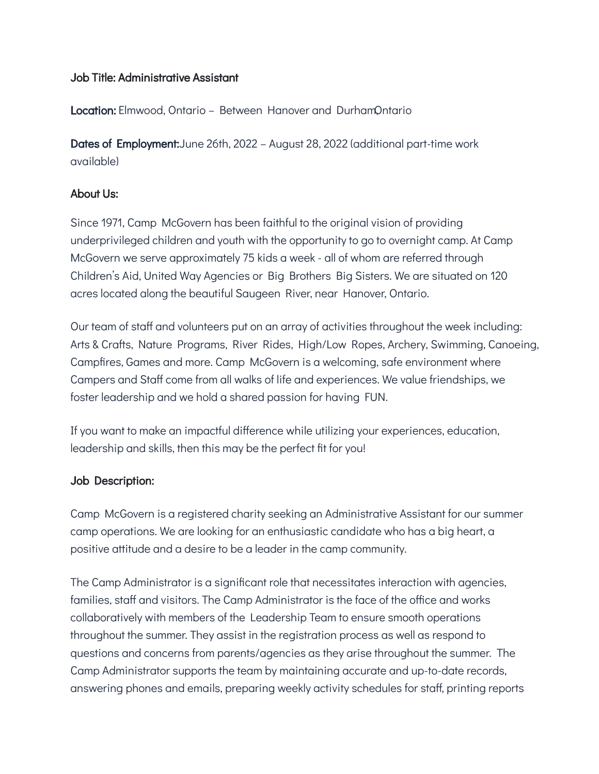#### Job Title: Administrative Assistant

**Location:** Elmwood, Ontario – Between Hanover and DurhamOntario

Dates of Employment:June 26th, 2022 – August 28, 2022 (additional part-time work available)

### About Us:

Since 1971, Camp McGovern has been faithful to the original vision of providing underprivileged children and youth with the opportunity to go to overnight camp. At Camp McGovern we serve approximately 75 kids a week - all of whom are referred through Children's Aid, United Way Agencies or Big Brothers Big Sisters. We are situated on 120 acres located along the beautiful Saugeen River, near Hanover, Ontario.

Our team of staff and volunteers put on an array of activities throughout the week including: Arts & Crafts, Nature Programs, River Rides, High/Low Ropes, Archery, Swimming, Canoeing, Campfires, Games and more. Camp McGovern is a welcoming, safe environment where Campers and Staff come from all walks of life and experiences. We value friendships, we foster leadership and we hold a shared passion for having FUN.

If you want to make an impactful difference while utilizing your experiences, education, leadership and skills, then this may be the perfect fit for you!

# Job Description:

Camp McGovern is a registered charity seeking an Administrative Assistant for our summer camp operations. We are looking for an enthusiastic candidate who has a big heart, a positive attitude and a desire to be a leader in the camp community.

The Camp Administrator is a significant role that necessitates interaction with agencies, families, staff and visitors. The Camp Administrator is the face of the office and works collaboratively with members of the Leadership Team to ensure smooth operations throughout the summer. They assist in the registration process as well as respond to questions and concerns from parents/agencies as they arise throughout the summer. The Camp Administrator supports the team by maintaining accurate and up-to-date records, answering phones and emails, preparing weekly activity schedules for staff, printing reports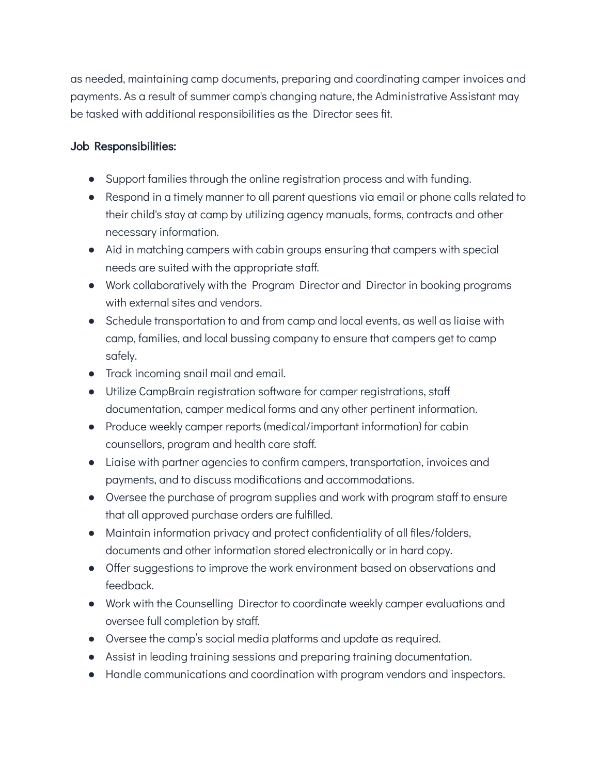as needed, maintaining camp documents, preparing and coordinating camper invoices and payments. As a result of summer camp's changing nature, the Administrative Assistant may be tasked with additional responsibilities as the Director sees fit.

### Job Responsibilities:

- Support families through the online registration process and with funding.
- Respond in a timely manner to all parent questions via email or phone calls related to their child's stay at camp by utilizing agency manuals, forms, contracts and other necessary information.
- Aid in matching campers with cabin groups ensuring that campers with special needs are suited with the appropriate staff.
- Work collaboratively with the Program Director and Director in booking programs with external sites and vendors.
- Schedule transportation to and from camp and local events, as well as liaise with camp, families, and local bussing company to ensure that campers get to camp safely.
- Track incoming snail mail and email.
- Utilize CampBrain registration software for camper registrations, staff documentation, camper medical forms and any other pertinent information.
- Produce weekly camper reports (medical/important information) for cabin counsellors, program and health care staff.
- Liaise with partner agencies to confirm campers, transportation, invoices and payments, and to discuss modifications and accommodations.
- Oversee the purchase of program supplies and work with program staff to ensure that all approved purchase orders are fulfilled.
- Maintain information privacy and protect confidentiality of all files/folders, documents and other information stored electronically or in hard copy.
- Offer suggestions to improve the work environment based on observations and feedback.
- Work with the Counselling Director to coordinate weekly camper evaluations and oversee full completion by staff.
- Oversee the camp's social media platforms and update as required.
- Assist in leading training sessions and preparing training documentation.
- Handle communications and coordination with program vendors and inspectors.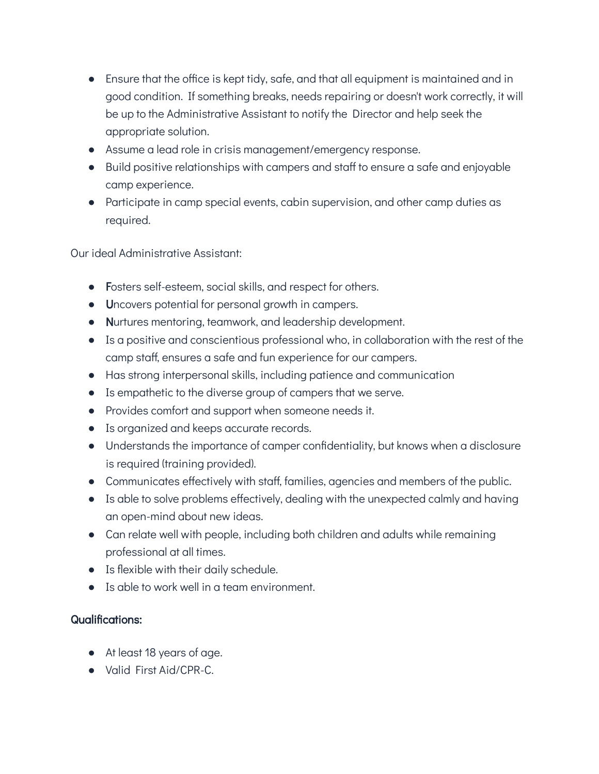- Ensure that the office is kept tidy, safe, and that all equipment is maintained and in good condition. If something breaks, needs repairing or doesn't work correctly, it will be up to the Administrative Assistant to notify the Director and help seek the appropriate solution.
- Assume a lead role in crisis management/emergency response.
- Build positive relationships with campers and staff to ensure a safe and enjoyable camp experience.
- Participate in camp special events, cabin supervision, and other camp duties as required.

Our ideal Administrative Assistant:

- Fosters self-esteem, social skills, and respect for others.
- Uncovers potential for personal growth in campers.
- Nurtures mentoring, teamwork, and leadership development.
- Is a positive and conscientious professional who, in collaboration with the rest of the camp staff, ensures a safe and fun experience for our campers.
- Has strong interpersonal skills, including patience and communication
- Is empathetic to the diverse group of campers that we serve.
- Provides comfort and support when someone needs it.
- Is organized and keeps accurate records.
- Understands the importance of camper confidentiality, but knows when a disclosure is required (training provided).
- Communicates effectively with staff, families, agencies and members of the public.
- Is able to solve problems effectively, dealing with the unexpected calmly and having an open-mind about new ideas.
- Can relate well with people, including both children and adults while remaining professional at all times.
- Is flexible with their daily schedule.
- Is able to work well in a team environment.

# Qualifications:

- At least 18 years of age.
- Valid First Aid/CPR-C.